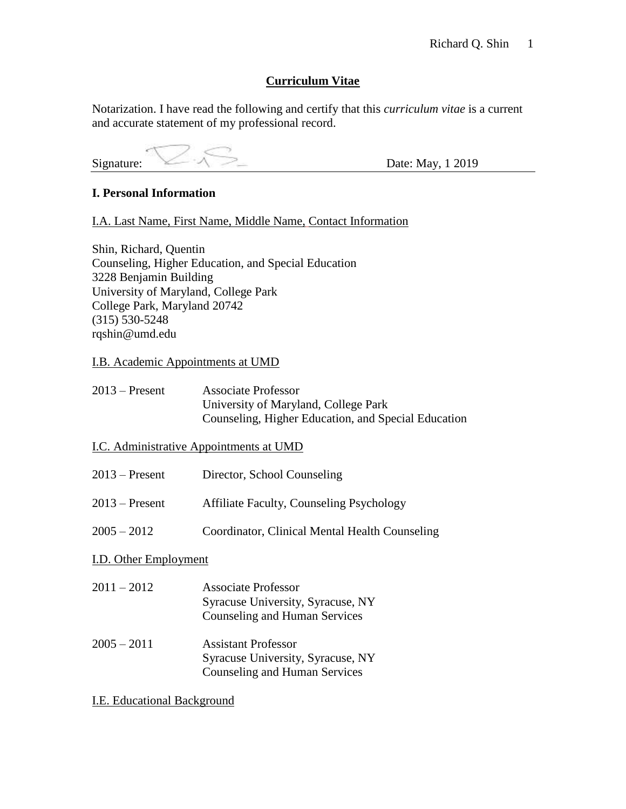# **Curriculum Vitae**

Notarization. I have read the following and certify that this *curriculum vitae* is a current and accurate statement of my professional record.

Signature:  $\leq \leq \leq \leq \leq$  Date: May, 1 2019

# **I. Personal Information**

I.A. Last Name, First Name, Middle Name, Contact Information

Shin, Richard, Quentin Counseling, Higher Education, and Special Education 3228 Benjamin Building University of Maryland, College Park College Park, Maryland 20742 (315) 530-5248 rqshin@umd.edu

## I.B. Academic Appointments at UMD

| $2013$ – Present | <b>Associate Professor</b>                          |
|------------------|-----------------------------------------------------|
|                  | University of Maryland, College Park                |
|                  | Counseling, Higher Education, and Special Education |

## I.C. Administrative Appointments at UMD

| $2013$ – Present | Director, School Counseling                     |
|------------------|-------------------------------------------------|
| $2013$ – Present | <b>Affiliate Faculty, Counseling Psychology</b> |
| $2005 - 2012$    | Coordinator, Clinical Mental Health Counseling  |

# I.D. Other Employment

| $2011 - 2012$                     | <b>Associate Professor</b><br>Syracuse University, Syracuse, NY<br>Counseling and Human Services |
|-----------------------------------|--------------------------------------------------------------------------------------------------|
| $\bullet \bullet \bullet \bullet$ | $\cdots$ $\cdots$                                                                                |

2005 – 2011 Assistant Professor Syracuse University, Syracuse, NY Counseling and Human Services

I.E. Educational Background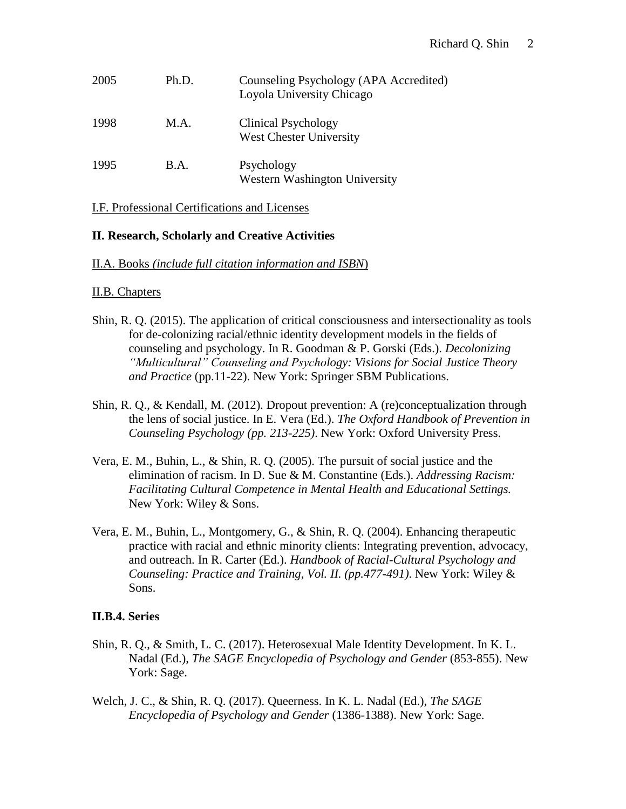| 2005 | Ph.D. | Counseling Psychology (APA Accredited)<br>Loyola University Chicago |
|------|-------|---------------------------------------------------------------------|
| 1998 | M.A.  | Clinical Psychology<br><b>West Chester University</b>               |
| 1995 | B.A.  | Psychology<br>Western Washington University                         |

# I.F. Professional Certifications and Licenses

# **II. Research, Scholarly and Creative Activities**

# II.A. Books *(include full citation information and ISBN*)

# II.B. Chapters

- Shin, R. Q. (2015). The application of critical consciousness and intersectionality as tools for de-colonizing racial/ethnic identity development models in the fields of counseling and psychology. In R. Goodman & P. Gorski (Eds.). *Decolonizing "Multicultural" Counseling and Psychology: Visions for Social Justice Theory and Practice* (pp.11-22). New York: Springer SBM Publications.
- Shin, R. Q., & Kendall, M. (2012). Dropout prevention: A (re)conceptualization through the lens of social justice. In E. Vera (Ed.). *The Oxford Handbook of Prevention in Counseling Psychology (pp. 213-225)*. New York: Oxford University Press.
- Vera, E. M., Buhin, L., & Shin, R. Q. (2005). The pursuit of social justice and the elimination of racism. In D. Sue & M. Constantine (Eds.). *Addressing Racism: Facilitating Cultural Competence in Mental Health and Educational Settings.*  New York: Wiley & Sons.
- Vera, E. M., Buhin, L., Montgomery, G., & Shin, R. Q. (2004). Enhancing therapeutic practice with racial and ethnic minority clients: Integrating prevention, advocacy, and outreach. In R. Carter (Ed.). *Handbook of Racial-Cultural Psychology and Counseling: Practice and Training, Vol. II. (pp.477-491)*. New York: Wiley & Sons.

# **II.B.4. Series**

- Shin, R. Q., & Smith, L. C. (2017). Heterosexual Male Identity Development. In K. L. Nadal (Ed.), *The SAGE Encyclopedia of Psychology and Gender* (853-855). New York: Sage.
- Welch, J. C., & Shin, R. Q. (2017). Queerness. In K. L. Nadal (Ed.), *The SAGE Encyclopedia of Psychology and Gender* (1386-1388). New York: Sage.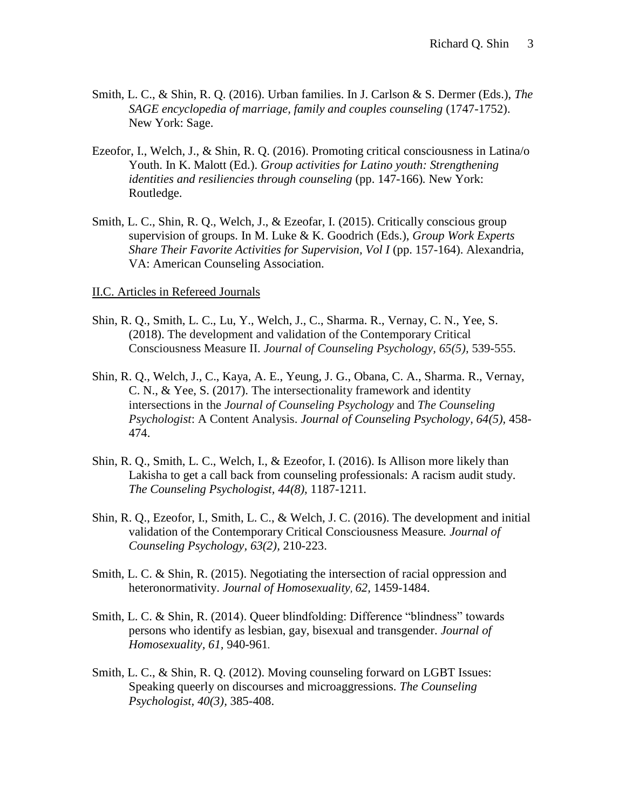- Smith, L. C., & Shin, R. Q. (2016). Urban families. In J. Carlson & S. Dermer (Eds.), *The SAGE encyclopedia of marriage, family and couples counseling* (1747-1752). New York: Sage.
- Ezeofor, I., Welch, J., & Shin, R. Q. (2016). Promoting critical consciousness in Latina/o Youth. In K. Malott (Ed.). *Group activities for Latino youth: Strengthening identities and resiliencies through counseling* (pp. 147-166)*.* New York: Routledge.
- Smith, L. C., Shin, R. Q., Welch, J., & Ezeofar, I. (2015). Critically conscious group supervision of groups. In M. Luke & K. Goodrich (Eds.), *Group Work Experts Share Their Favorite Activities for Supervision, Vol I* (pp. 157-164). Alexandria, VA: American Counseling Association.

## II.C. Articles in Refereed Journals

- Shin, R. Q., Smith, L. C., Lu, Y., Welch, J., C., Sharma. R., Vernay, C. N., Yee, S. (2018). The development and validation of the Contemporary Critical Consciousness Measure II. *Journal of Counseling Psychology, 65(5),* 539-555.
- Shin, R. Q., Welch, J., C., Kaya, A. E., Yeung, J. G., Obana, C. A., Sharma. R., Vernay, C. N., & Yee, S. (2017). The intersectionality framework and identity intersections in the *Journal of Counseling Psychology* and *The Counseling Psychologist*: A Content Analysis. *Journal of Counseling Psychology, 64(5),* 458- 474.
- Shin, R. Q., Smith, L. C., Welch, I., & Ezeofor, I. (2016). Is Allison more likely than Lakisha to get a call back from counseling professionals: A racism audit study. *The Counseling Psychologist, 44(8),* 1187-1211*.*
- Shin, R. Q., Ezeofor, I., Smith, L. C., & Welch, J. C. (2016). The development and initial validation of the Contemporary Critical Consciousness Measure*. Journal of Counseling Psychology, 63(2),* 210-223.
- Smith, L. C. & Shin, R. (2015). Negotiating the intersection of racial oppression and heteronormativity. *Journal of Homosexuality, 62,* 1459-1484.
- Smith, L. C. & Shin, R. (2014). Queer blindfolding: Difference "blindness" towards persons who identify as lesbian, gay, bisexual and transgender. *Journal of Homosexuality, 61,* 940-961*.*
- Smith, L. C., & Shin, R. Q. (2012). Moving counseling forward on LGBT Issues: Speaking queerly on discourses and microaggressions. *The Counseling Psychologist, 40(3),* 385-408.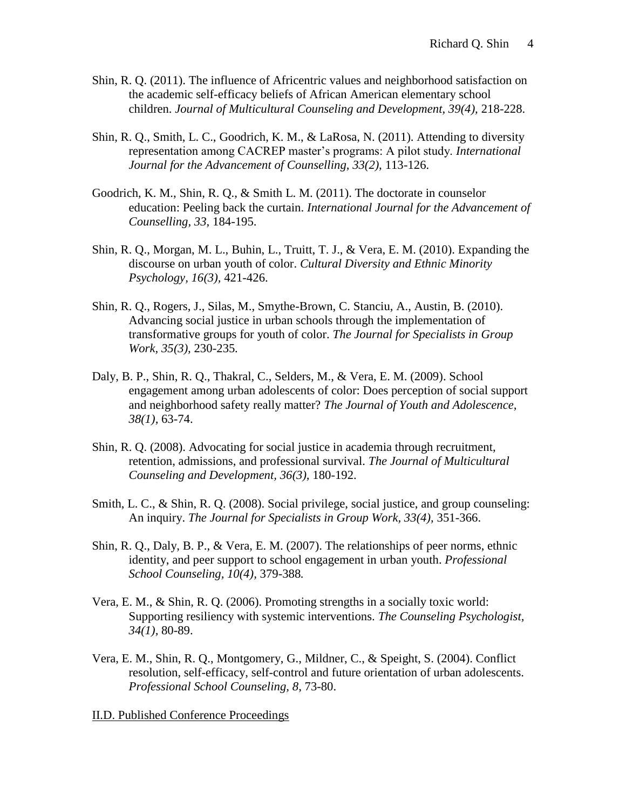- Shin, R. Q. (2011). The influence of Africentric values and neighborhood satisfaction on the academic self-efficacy beliefs of African American elementary school children. *Journal of Multicultural Counseling and Development, 39(4),* 218-228.
- Shin, R. Q., Smith, L. C., Goodrich, K. M., & LaRosa, N. (2011). Attending to diversity representation among CACREP master's programs: A pilot study. *International Journal for the Advancement of Counselling, 33(2),* 113-126.
- Goodrich, K. M., Shin, R. Q., & Smith L. M. (2011). The doctorate in counselor education: Peeling back the curtain. *International Journal for the Advancement of Counselling, 33,* 184-195.
- Shin, R. Q., Morgan, M. L., Buhin, L., Truitt, T. J., & Vera, E. M. (2010). Expanding the discourse on urban youth of color. *Cultural Diversity and Ethnic Minority Psychology, 16(3),* 421-426.
- Shin, R. Q., Rogers, J., Silas, M., Smythe-Brown, C. Stanciu, A., Austin, B. (2010). Advancing social justice in urban schools through the implementation of transformative groups for youth of color. *The Journal for Specialists in Group Work, 35(3),* 230-235*.*
- Daly, B. P., Shin, R. Q., Thakral, C., Selders, M., & Vera, E. M. (2009). School engagement among urban adolescents of color: Does perception of social support and neighborhood safety really matter? *The Journal of Youth and Adolescence, 38(1),* 63-74.
- Shin, R. Q. (2008). Advocating for social justice in academia through recruitment, retention, admissions, and professional survival. *The Journal of Multicultural Counseling and Development, 36(3),* 180-192.
- Smith, L. C., & Shin, R. Q. (2008). Social privilege, social justice, and group counseling: An inquiry. *The Journal for Specialists in Group Work, 33(4),* 351-366.
- Shin, R. Q., Daly, B. P., & Vera, E. M. (2007). The relationships of peer norms, ethnic identity, and peer support to school engagement in urban youth. *Professional School Counseling, 10(4),* 379-388*.*
- Vera, E. M., & Shin, R. Q. (2006). Promoting strengths in a socially toxic world: Supporting resiliency with systemic interventions. *The Counseling Psychologist, 34(1),* 80-89.
- Vera, E. M., Shin, R. Q., Montgomery, G., Mildner, C., & Speight, S. (2004). Conflict resolution, self-efficacy, self-control and future orientation of urban adolescents. *Professional School Counseling, 8*, 73-80.

II.D. Published Conference Proceedings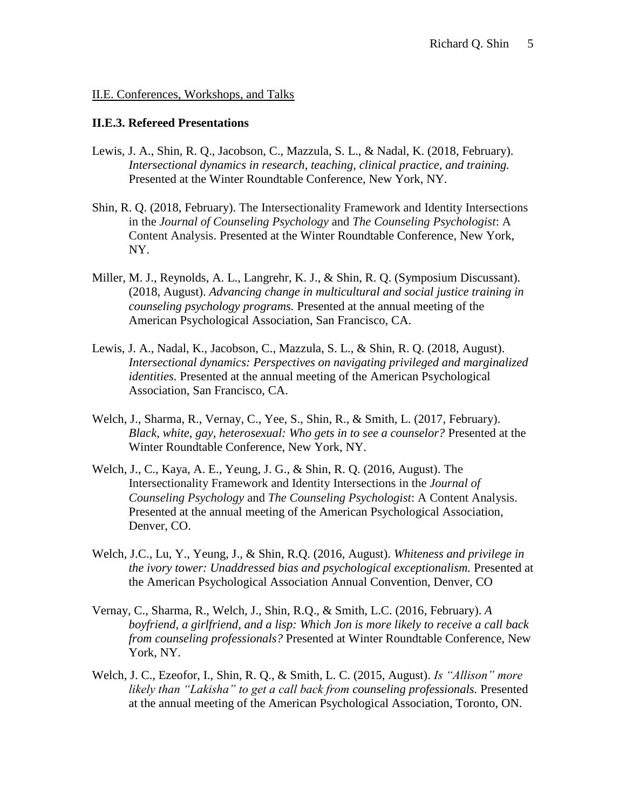## II.E. Conferences, Workshops, and Talks

## **II.E.3. Refereed Presentations**

- Lewis, J. A., Shin, R. Q., Jacobson, C., Mazzula, S. L., & Nadal, K. (2018, February). *Intersectional dynamics in research, teaching, clinical practice, and training.*  Presented at the Winter Roundtable Conference, New York, NY.
- Shin, R. Q. (2018, February). The Intersectionality Framework and Identity Intersections in the *Journal of Counseling Psychology* and *The Counseling Psychologist*: A Content Analysis. Presented at the Winter Roundtable Conference, New York, NY.
- Miller, M. J., Reynolds, A. L., Langrehr, K. J., & Shin, R. Q. (Symposium Discussant). (2018, August). *Advancing change in multicultural and social justice training in counseling psychology programs.* Presented at the annual meeting of the American Psychological Association, San Francisco, CA.
- Lewis, J. A., Nadal, K., Jacobson, C., Mazzula, S. L., & Shin, R. Q. (2018, August). *Intersectional dynamics: Perspectives on navigating privileged and marginalized identities.* Presented at the annual meeting of the American Psychological Association, San Francisco, CA.
- Welch, J., Sharma, R., Vernay, C., Yee, S., Shin, R., & Smith, L. (2017, February). *Black, white, gay, heterosexual: Who gets in to see a counselor?* Presented at the Winter Roundtable Conference, New York, NY.
- Welch, J., C., Kaya, A. E., Yeung, J. G., & Shin, R. Q. (2016, August). The Intersectionality Framework and Identity Intersections in the *Journal of Counseling Psychology* and *The Counseling Psychologist*: A Content Analysis. Presented at the annual meeting of the American Psychological Association, Denver, CO.
- Welch, J.C., Lu, Y., Yeung, J., & Shin, R.Q. (2016, August). *Whiteness and privilege in the ivory tower: Unaddressed bias and psychological exceptionalism.* Presented at the American Psychological Association Annual Convention, Denver, CO
- Vernay, C., Sharma, R., Welch, J., Shin, R.Q., & Smith, L.C. (2016, February). *A boyfriend, a girlfriend, and a lisp: Which Jon is more likely to receive a call back from counseling professionals?* Presented at Winter Roundtable Conference, New York, NY.
- Welch, J. C., Ezeofor, I., Shin, R. Q., & Smith, L. C. (2015, August). *Is "Allison" more likely than "Lakisha" to get a call back from counseling professionals.* Presented at the annual meeting of the American Psychological Association, Toronto, ON.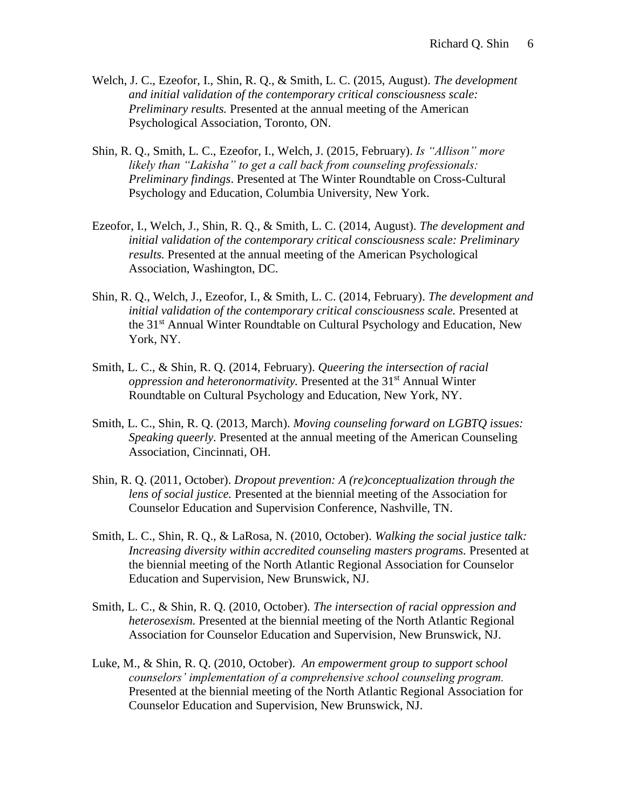- Welch, J. C., Ezeofor, I., Shin, R. Q., & Smith, L. C. (2015, August). *The development and initial validation of the contemporary critical consciousness scale: Preliminary results.* Presented at the annual meeting of the American Psychological Association, Toronto, ON.
- Shin, R. Q., Smith, L. C., Ezeofor, I., Welch, J. (2015, February). *Is "Allison" more likely than "Lakisha" to get a call back from counseling professionals: Preliminary findings*. Presented at The Winter Roundtable on Cross-Cultural Psychology and Education, Columbia University, New York.
- Ezeofor, I., Welch, J., Shin, R. Q., & Smith, L. C. (2014, August). *The development and initial validation of the contemporary critical consciousness scale: Preliminary results.* Presented at the annual meeting of the American Psychological Association, Washington, DC.
- Shin, R. Q., Welch, J., Ezeofor, I., & Smith, L. C. (2014, February). *The development and initial validation of the contemporary critical consciousness scale.* Presented at the 31st Annual Winter Roundtable on Cultural Psychology and Education, New York, NY.
- Smith, L. C., & Shin, R. Q. (2014, February). *Queering the intersection of racial oppression and heteronormativity.* Presented at the 31<sup>st</sup> Annual Winter Roundtable on Cultural Psychology and Education, New York, NY.
- Smith, L. C., Shin, R. Q. (2013, March). *Moving counseling forward on LGBTQ issues: Speaking queerly.* Presented at the annual meeting of the American Counseling Association, Cincinnati, OH.
- Shin, R. Q. (2011, October). *Dropout prevention: A (re)conceptualization through the lens of social justice.* Presented at the biennial meeting of the Association for Counselor Education and Supervision Conference, Nashville, TN.
- Smith, L. C., Shin, R. Q., & LaRosa, N. (2010, October). *Walking the social justice talk: Increasing diversity within accredited counseling masters programs.* Presented at the biennial meeting of the North Atlantic Regional Association for Counselor Education and Supervision, New Brunswick, NJ.
- Smith, L. C., & Shin, R. Q. (2010, October). *The intersection of racial oppression and heterosexism.* Presented at the biennial meeting of the North Atlantic Regional Association for Counselor Education and Supervision, New Brunswick, NJ.
- Luke, M., & Shin, R. Q. (2010, October). *An empowerment group to support school counselors' implementation of a comprehensive school counseling program.*  Presented at the biennial meeting of the North Atlantic Regional Association for Counselor Education and Supervision, New Brunswick, NJ.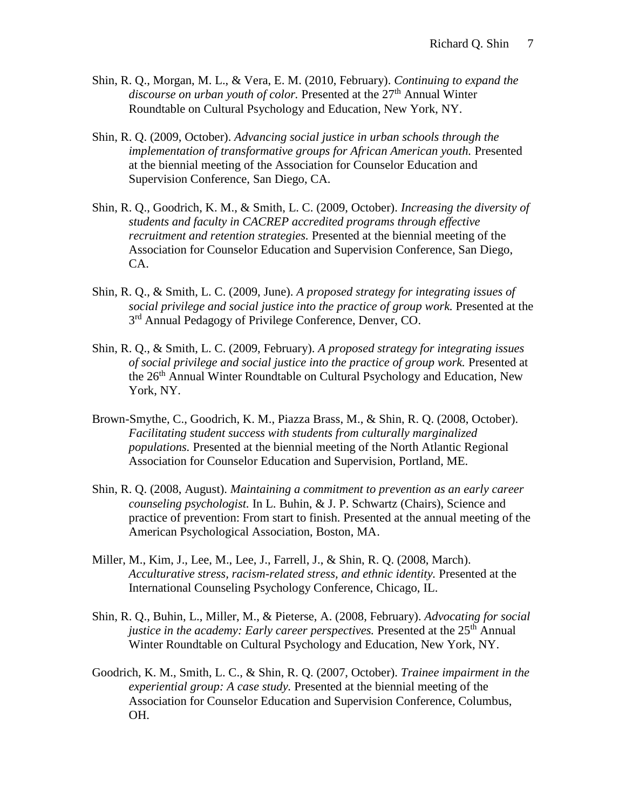- Shin, R. Q., Morgan, M. L., & Vera, E. M. (2010, February). *Continuing to expand the*  discourse on urban youth of color. Presented at the 27<sup>th</sup> Annual Winter Roundtable on Cultural Psychology and Education, New York, NY.
- Shin, R. Q. (2009, October). *Advancing social justice in urban schools through the implementation of transformative groups for African American youth.* Presented at the biennial meeting of the Association for Counselor Education and Supervision Conference, San Diego, CA.
- Shin, R. Q., Goodrich, K. M., & Smith, L. C. (2009, October). *Increasing the diversity of students and faculty in CACREP accredited programs through effective recruitment and retention strategies.* Presented at the biennial meeting of the Association for Counselor Education and Supervision Conference, San Diego, CA.
- Shin, R. Q., & Smith, L. C. (2009, June). *A proposed strategy for integrating issues of social privilege and social justice into the practice of group work.* Presented at the 3<sup>rd</sup> Annual Pedagogy of Privilege Conference, Denver, CO.
- Shin, R. Q., & Smith, L. C. (2009, February). *A proposed strategy for integrating issues of social privilege and social justice into the practice of group work.* Presented at the 26<sup>th</sup> Annual Winter Roundtable on Cultural Psychology and Education, New York, NY.
- Brown-Smythe, C., Goodrich, K. M., Piazza Brass, M., & Shin, R. Q. (2008, October). *Facilitating student success with students from culturally marginalized populations.* Presented at the biennial meeting of the North Atlantic Regional Association for Counselor Education and Supervision, Portland, ME.
- Shin, R. Q. (2008, August). *Maintaining a commitment to prevention as an early career counseling psychologist.* In L. Buhin, & J. P. Schwartz (Chairs), Science and practice of prevention: From start to finish. Presented at the annual meeting of the American Psychological Association, Boston, MA.
- Miller, M., Kim, J., Lee, M., Lee, J., Farrell, J., & Shin, R. Q. (2008, March). *Acculturative stress, racism-related stress, and ethnic identity.* Presented at the International Counseling Psychology Conference, Chicago, IL.
- Shin, R. Q., Buhin, L., Miller, M., & Pieterse, A. (2008, February). *Advocating for social justice in the academy: Early career perspectives.* Presented at the 25<sup>th</sup> Annual Winter Roundtable on Cultural Psychology and Education, New York, NY.
- Goodrich, K. M., Smith, L. C., & Shin, R. Q. (2007, October). *Trainee impairment in the experiential group: A case study.* Presented at the biennial meeting of the Association for Counselor Education and Supervision Conference, Columbus, OH.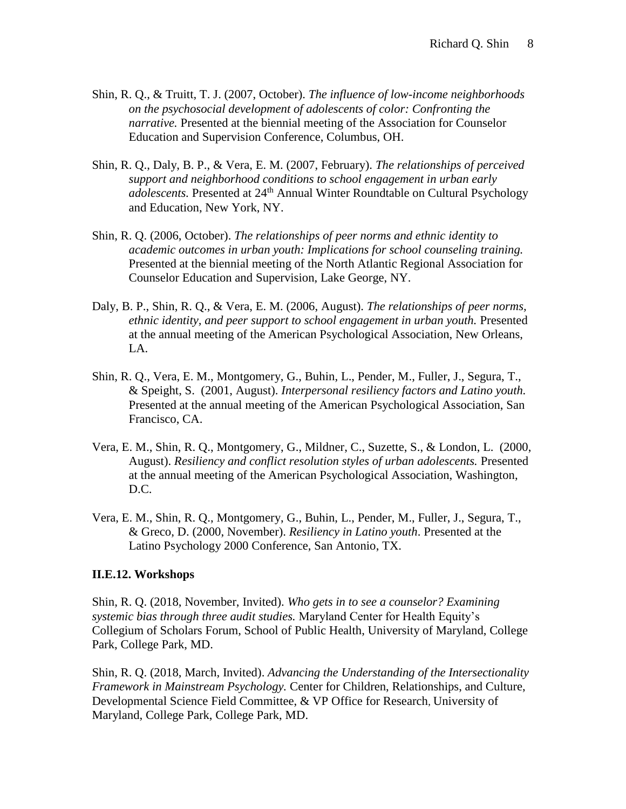- Shin, R. Q., & Truitt, T. J. (2007, October). *The influence of low-income neighborhoods on the psychosocial development of adolescents of color: Confronting the narrative.* Presented at the biennial meeting of the Association for Counselor Education and Supervision Conference, Columbus, OH.
- Shin, R. Q., Daly, B. P., & Vera, E. M. (2007, February). *The relationships of perceived support and neighborhood conditions to school engagement in urban early adolescents.* Presented at 24<sup>th</sup> Annual Winter Roundtable on Cultural Psychology and Education, New York, NY.
- Shin, R. Q. (2006, October). *The relationships of peer norms and ethnic identity to academic outcomes in urban youth: Implications for school counseling training.* Presented at the biennial meeting of the North Atlantic Regional Association for Counselor Education and Supervision, Lake George, NY.
- Daly, B. P., Shin, R. Q., & Vera, E. M. (2006, August). *The relationships of peer norms, ethnic identity, and peer support to school engagement in urban youth.* Presented at the annual meeting of the American Psychological Association, New Orleans, LA.
- Shin, R. Q., Vera, E. M., Montgomery, G., Buhin, L., Pender, M., Fuller, J., Segura, T., & Speight, S. (2001, August). *Interpersonal resiliency factors and Latino youth.* Presented at the annual meeting of the American Psychological Association, San Francisco, CA.
- Vera, E. M., Shin, R. Q., Montgomery, G., Mildner, C., Suzette, S., & London, L. (2000, August). *Resiliency and conflict resolution styles of urban adolescents.* Presented at the annual meeting of the American Psychological Association, Washington, D.C.
- Vera, E. M., Shin, R. Q., Montgomery, G., Buhin, L., Pender, M., Fuller, J., Segura, T., & Greco, D. (2000, November). *Resiliency in Latino youth*. Presented at the Latino Psychology 2000 Conference, San Antonio, TX.

## **II.E.12. Workshops**

Shin, R. Q. (2018, November, Invited). *Who gets in to see a counselor? Examining systemic bias through three audit studies.* Maryland Center for Health Equity's Collegium of Scholars Forum, School of Public Health, University of Maryland, College Park, College Park, MD.

Shin, R. Q. (2018, March, Invited). *Advancing the Understanding of the Intersectionality Framework in Mainstream Psychology.* Center for Children, Relationships, and Culture, Developmental Science Field Committee, & VP Office for Research, University of Maryland, College Park, College Park, MD.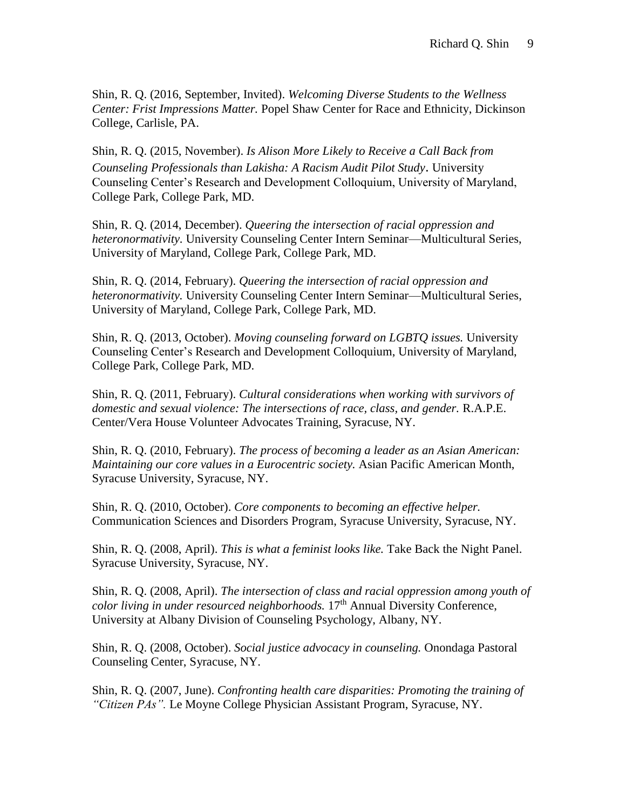Shin, R. Q. (2016, September, Invited). *Welcoming Diverse Students to the Wellness Center: Frist Impressions Matter.* Popel Shaw Center for Race and Ethnicity, Dickinson College, Carlisle, PA.

Shin, R. Q. (2015, November). *Is Alison More Likely to Receive a Call Back from Counseling Professionals than Lakisha: A Racism Audit Pilot Study*. University Counseling Center's Research and Development Colloquium, University of Maryland, College Park, College Park, MD.

Shin, R. Q. (2014, December). *Queering the intersection of racial oppression and heteronormativity.* University Counseling Center Intern Seminar—Multicultural Series, University of Maryland, College Park, College Park, MD.

Shin, R. Q. (2014, February). *Queering the intersection of racial oppression and heteronormativity.* University Counseling Center Intern Seminar—Multicultural Series, University of Maryland, College Park, College Park, MD.

Shin, R. Q. (2013, October). *Moving counseling forward on LGBTQ issues.* University Counseling Center's Research and Development Colloquium, University of Maryland, College Park, College Park, MD.

Shin, R. Q. (2011, February). *Cultural considerations when working with survivors of domestic and sexual violence: The intersections of race, class, and gender.* R.A.P.E. Center/Vera House Volunteer Advocates Training, Syracuse, NY.

Shin, R. Q. (2010, February). *The process of becoming a leader as an Asian American: Maintaining our core values in a Eurocentric society.* Asian Pacific American Month, Syracuse University, Syracuse, NY.

Shin, R. Q. (2010, October). *Core components to becoming an effective helper.*  Communication Sciences and Disorders Program, Syracuse University, Syracuse, NY.

Shin, R. Q. (2008, April). *This is what a feminist looks like.* Take Back the Night Panel. Syracuse University, Syracuse, NY.

Shin, R. Q. (2008, April). *The intersection of class and racial oppression among youth of color living in under resourced neighborhoods.* 17<sup>th</sup> Annual Diversity Conference, University at Albany Division of Counseling Psychology, Albany, NY.

Shin, R. Q. (2008, October). *Social justice advocacy in counseling.* Onondaga Pastoral Counseling Center, Syracuse, NY.

Shin, R. Q. (2007, June). *Confronting health care disparities: Promoting the training of "Citizen PAs".* Le Moyne College Physician Assistant Program, Syracuse, NY.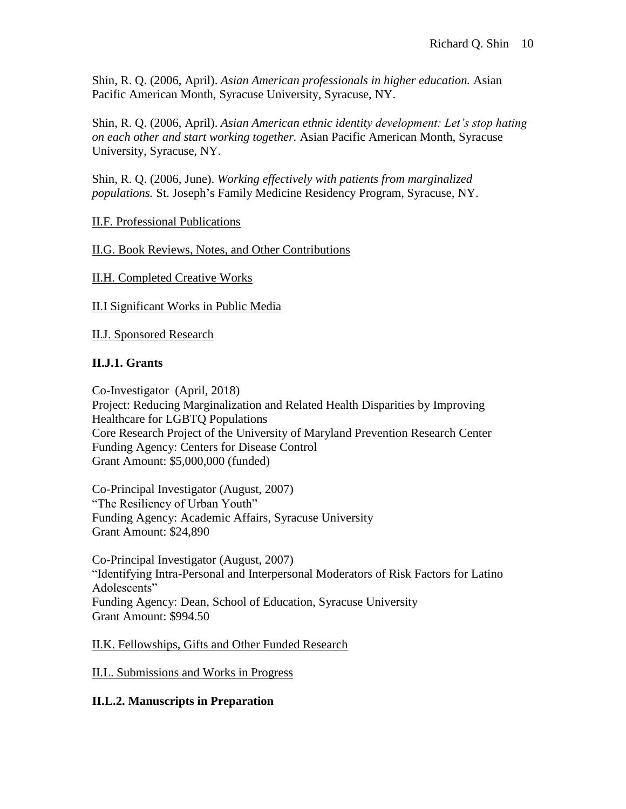Shin, R. Q. (2006, April). *Asian American professionals in higher education.* Asian Pacific American Month, Syracuse University, Syracuse, NY.

Shin, R. Q. (2006, April). *Asian American ethnic identity development: Let's stop hating on each other and start working together.* Asian Pacific American Month, Syracuse University, Syracuse, NY.

Shin, R. Q. (2006, June). *Working effectively with patients from marginalized populations.* St. Joseph's Family Medicine Residency Program, Syracuse, NY.

II.F. Professional Publications

II.G. Book Reviews, Notes, and Other Contributions

II.H. Completed Creative Works

II.I Significant Works in Public Media

II.J. Sponsored Research

# **II.J.1. Grants**

Co-Investigator (April, 2018) Project: Reducing Marginalization and Related Health Disparities by Improving Healthcare for LGBTQ Populations Core Research Project of the University of Maryland Prevention Research Center Funding Agency: Centers for Disease Control Grant Amount: \$5,000,000 (funded)

Co-Principal Investigator (August, 2007) "The Resiliency of Urban Youth" Funding Agency: Academic Affairs, Syracuse University Grant Amount: \$24,890

Co-Principal Investigator (August, 2007) "Identifying Intra-Personal and Interpersonal Moderators of Risk Factors for Latino Adolescents" Funding Agency: Dean, School of Education, Syracuse University Grant Amount: \$994.50

II.K. Fellowships, Gifts and Other Funded Research

II.L. Submissions and Works in Progress

## **II.L.2. Manuscripts in Preparation**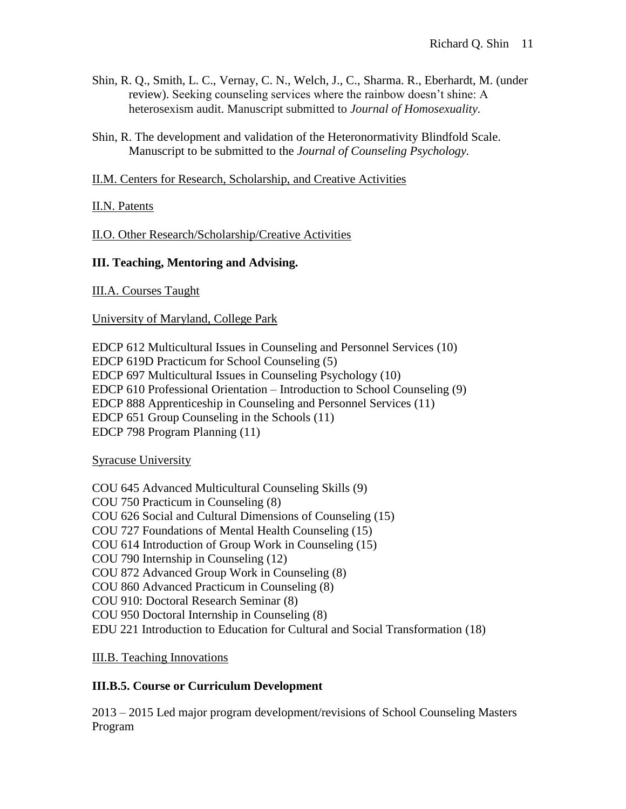- Shin, R. Q., Smith, L. C., Vernay, C. N., Welch, J., C., Sharma. R., Eberhardt, M. (under review). Seeking counseling services where the rainbow doesn't shine: A heterosexism audit. Manuscript submitted to *Journal of Homosexuality.*
- Shin, R. The development and validation of the Heteronormativity Blindfold Scale. Manuscript to be submitted to the *Journal of Counseling Psychology.*

II.M. Centers for Research, Scholarship, and Creative Activities

# II.N. Patents

II.O. Other Research/Scholarship/Creative Activities

# **III. Teaching, Mentoring and Advising.**

III.A. Courses Taught

University of Maryland, College Park

EDCP 612 Multicultural Issues in Counseling and Personnel Services (10) EDCP 619D Practicum for School Counseling (5) EDCP 697 Multicultural Issues in Counseling Psychology (10) EDCP 610 Professional Orientation – Introduction to School Counseling (9) EDCP 888 Apprenticeship in Counseling and Personnel Services (11) EDCP 651 Group Counseling in the Schools (11) EDCP 798 Program Planning (11)

Syracuse University

COU 645 Advanced Multicultural Counseling Skills (9) COU 750 Practicum in Counseling (8) COU 626 Social and Cultural Dimensions of Counseling (15) COU 727 Foundations of Mental Health Counseling (15) COU 614 Introduction of Group Work in Counseling (15) COU 790 Internship in Counseling (12) COU 872 Advanced Group Work in Counseling (8) COU 860 Advanced Practicum in Counseling (8) COU 910: Doctoral Research Seminar (8) COU 950 Doctoral Internship in Counseling (8) EDU 221 Introduction to Education for Cultural and Social Transformation (18)

III.B. Teaching Innovations

# **III.B.5. Course or Curriculum Development**

2013 – 2015 Led major program development/revisions of School Counseling Masters Program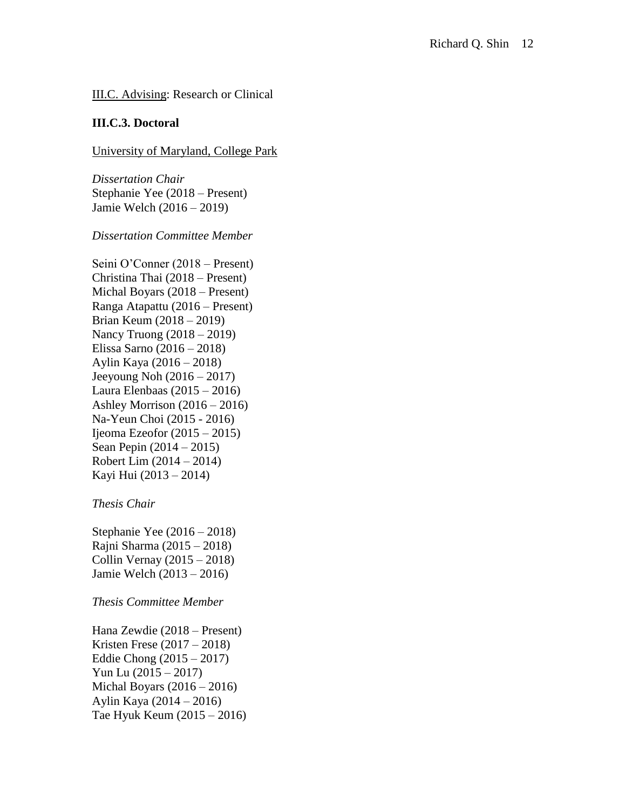# III.C. Advising: Research or Clinical

### **III.C.3. Doctoral**

#### University of Maryland, College Park

*Dissertation Chair* Stephanie Yee (2018 – Present) Jamie Welch (2016 – 2019)

#### *Dissertation Committee Member*

Seini O'Conner (2018 – Present) Christina Thai (2018 – Present) Michal Boyars (2018 – Present) Ranga Atapattu (2016 – Present) Brian Keum (2018 – 2019) Nancy Truong (2018 – 2019) Elissa Sarno (2016 – 2018) Aylin Kaya (2016 – 2018) Jeeyoung Noh (2016 – 2017) Laura Elenbaas (2015 – 2016) Ashley Morrison  $(2016 - 2016)$ Na-Yeun Choi (2015 - 2016) Ijeoma Ezeofor  $(2015 - 2015)$ Sean Pepin (2014 – 2015) Robert Lim (2014 – 2014) Kayi Hui (2013 – 2014)

*Thesis Chair* 

Stephanie Yee (2016 – 2018) Rajni Sharma (2015 – 2018) Collin Vernay (2015 – 2018) Jamie Welch (2013 – 2016)

## *Thesis Committee Member*

Hana Zewdie (2018 – Present) Kristen Frese (2017 – 2018) Eddie Chong (2015 – 2017) Yun Lu (2015 – 2017) Michal Boyars  $(2016 - 2016)$ Aylin Kaya (2014 – 2016) Tae Hyuk Keum (2015 – 2016)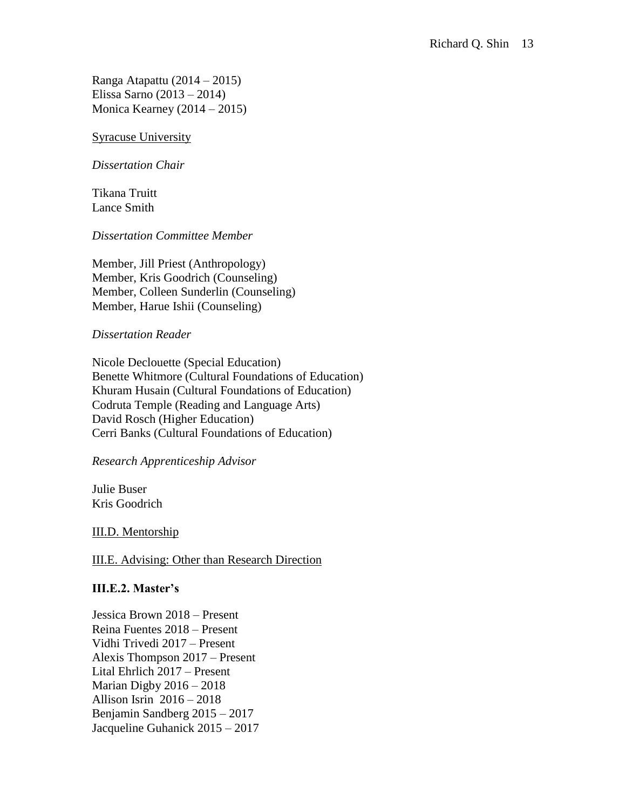Ranga Atapattu (2014 – 2015) Elissa Sarno (2013 – 2014) Monica Kearney (2014 – 2015)

## Syracuse University

### *Dissertation Chair*

Tikana Truitt Lance Smith

#### *Dissertation Committee Member*

Member, Jill Priest (Anthropology) Member, Kris Goodrich (Counseling) Member, Colleen Sunderlin (Counseling) Member, Harue Ishii (Counseling)

#### *Dissertation Reader*

Nicole Declouette (Special Education) Benette Whitmore (Cultural Foundations of Education) Khuram Husain (Cultural Foundations of Education) Codruta Temple (Reading and Language Arts) David Rosch (Higher Education) Cerri Banks (Cultural Foundations of Education)

## *Research Apprenticeship Advisor*

Julie Buser Kris Goodrich

## III.D. Mentorship

## III.E. Advising: Other than Research Direction

## **III.E.2. Master's**

Jessica Brown 2018 – Present Reina Fuentes 2018 – Present Vidhi Trivedi 2017 – Present Alexis Thompson 2017 – Present Lital Ehrlich 2017 – Present Marian Digby 2016 – 2018 Allison Isrin 2016 – 2018 Benjamin Sandberg 2015 – 2017 Jacqueline Guhanick 2015 – 2017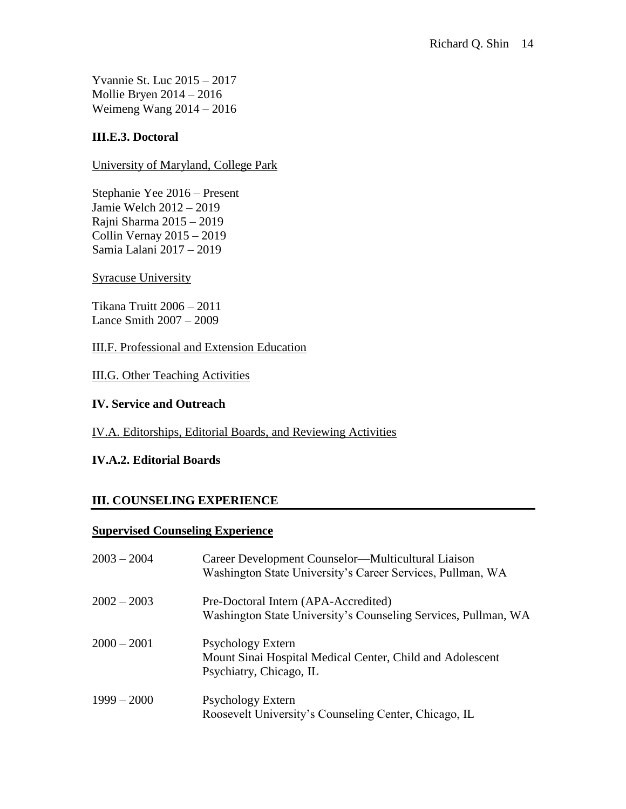Yvannie St. Luc 2015 – 2017 Mollie Bryen 2014 – 2016 Weimeng Wang 2014 – 2016

# **III.E.3. Doctoral**

University of Maryland, College Park

Stephanie Yee 2016 – Present Jamie Welch 2012 – 2019 Rajni Sharma 2015 – 2019 Collin Vernay 2015 – 2019 Samia Lalani 2017 – 2019

## Syracuse University

Tikana Truitt 2006 – 2011 Lance Smith 2007 – 2009

III.F. Professional and Extension Education

III.G. Other Teaching Activities

## **IV. Service and Outreach**

## IV.A. Editorships, Editorial Boards, and Reviewing Activities

# **IV.A.2. Editorial Boards**

# **III. COUNSELING EXPERIENCE**

## **Supervised Counseling Experience**

| $2003 - 2004$ | Career Development Counselor—Multicultural Liaison<br>Washington State University's Career Services, Pullman, WA |
|---------------|------------------------------------------------------------------------------------------------------------------|
| $2002 - 2003$ | Pre-Doctoral Intern (APA-Accredited)<br>Washington State University's Counseling Services, Pullman, WA           |
| $2000 - 2001$ | Psychology Extern<br>Mount Sinai Hospital Medical Center, Child and Adolescent<br>Psychiatry, Chicago, IL        |
| $1999 - 2000$ | <b>Psychology Extern</b><br>Roosevelt University's Counseling Center, Chicago, IL                                |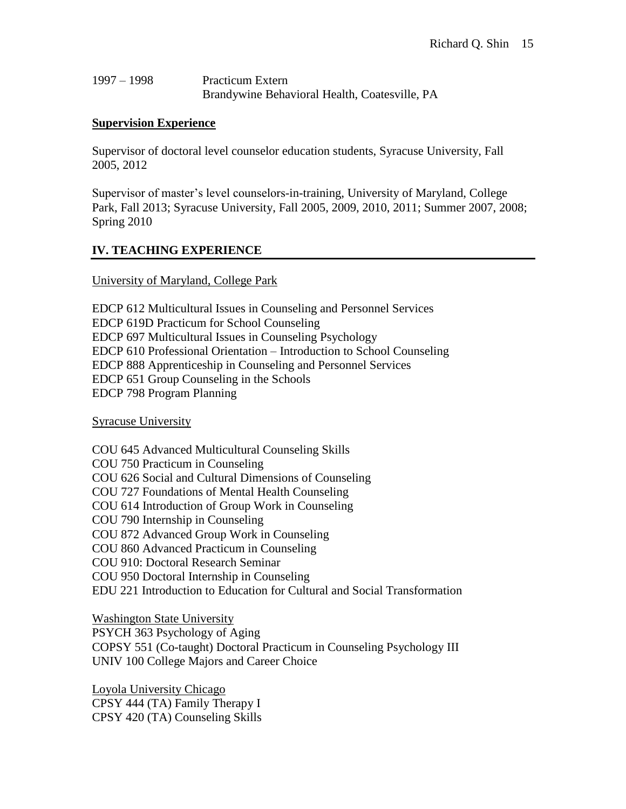| $1997 - 1998$ | <b>Practicum Extern</b>                       |
|---------------|-----------------------------------------------|
|               | Brandywine Behavioral Health, Coatesville, PA |

# **Supervision Experience**

Supervisor of doctoral level counselor education students, Syracuse University, Fall 2005, 2012

Supervisor of master's level counselors-in-training, University of Maryland, College Park, Fall 2013; Syracuse University, Fall 2005, 2009, 2010, 2011; Summer 2007, 2008; Spring 2010

# **IV. TEACHING EXPERIENCE**

## University of Maryland, College Park

EDCP 612 Multicultural Issues in Counseling and Personnel Services EDCP 619D Practicum for School Counseling EDCP 697 Multicultural Issues in Counseling Psychology EDCP 610 Professional Orientation – Introduction to School Counseling EDCP 888 Apprenticeship in Counseling and Personnel Services EDCP 651 Group Counseling in the Schools EDCP 798 Program Planning

Syracuse University

COU 645 Advanced Multicultural Counseling Skills COU 750 Practicum in Counseling COU 626 Social and Cultural Dimensions of Counseling COU 727 Foundations of Mental Health Counseling COU 614 Introduction of Group Work in Counseling COU 790 Internship in Counseling COU 872 Advanced Group Work in Counseling COU 860 Advanced Practicum in Counseling COU 910: Doctoral Research Seminar COU 950 Doctoral Internship in Counseling EDU 221 Introduction to Education for Cultural and Social Transformation

Washington State University

PSYCH 363 Psychology of Aging COPSY 551 (Co-taught) Doctoral Practicum in Counseling Psychology III UNIV 100 College Majors and Career Choice

Loyola University Chicago CPSY 444 (TA) Family Therapy I CPSY 420 (TA) Counseling Skills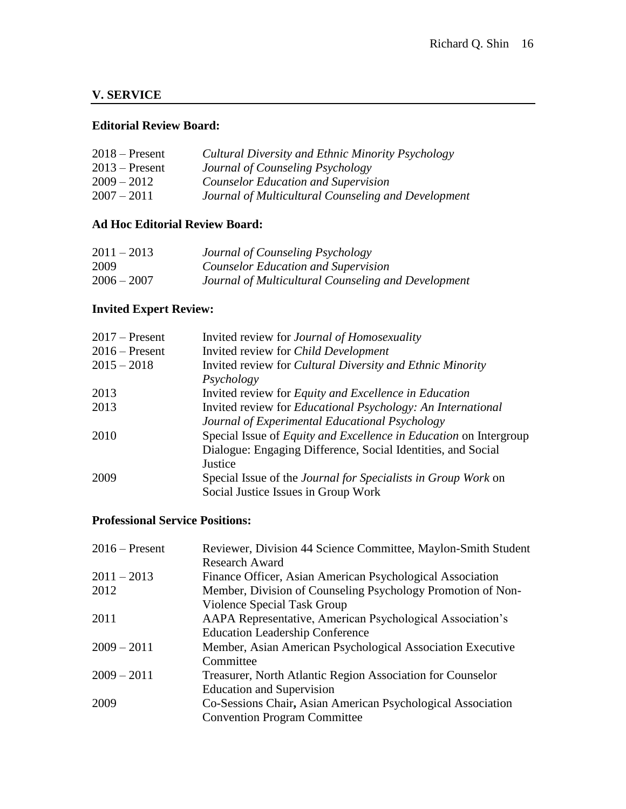# **V. SERVICE**

# **Editorial Review Board:**

| $2018 -$ Present | Cultural Diversity and Ethnic Minority Psychology   |
|------------------|-----------------------------------------------------|
| $2013$ – Present | Journal of Counseling Psychology                    |
| $2009 - 2012$    | <b>Counselor Education and Supervision</b>          |
| $2007 - 2011$    | Journal of Multicultural Counseling and Development |
|                  |                                                     |

# **Ad Hoc Editorial Review Board:**

| $2011 - 2013$ | Journal of Counseling Psychology                    |
|---------------|-----------------------------------------------------|
| 2009          | <b>Counselor Education and Supervision</b>          |
| $2006 - 2007$ | Journal of Multicultural Counseling and Development |

# **Invited Expert Review:**

| $2017$ – Present | Invited review for <i>Journal of Homosexuality</i>                       |
|------------------|--------------------------------------------------------------------------|
| $2016$ – Present | Invited review for <i>Child Development</i>                              |
| $2015 - 2018$    | Invited review for <i>Cultural Diversity and Ethnic Minority</i>         |
|                  | Psychology                                                               |
| 2013             | Invited review for <i>Equity and Excellence in Education</i>             |
| 2013             | Invited review for <i>Educational Psychology: An International</i>       |
|                  | Journal of Experimental Educational Psychology                           |
| 2010             | Special Issue of <i>Equity and Excellence in Education</i> on Intergroup |
|                  | Dialogue: Engaging Difference, Social Identities, and Social             |
|                  | Justice                                                                  |
| 2009             | Special Issue of the <i>Journal for Specialists in Group Work</i> on     |
|                  | Social Justice Issues in Group Work                                      |

# **Professional Service Positions:**

| $2016$ – Present | Reviewer, Division 44 Science Committee, Maylon-Smith Student |
|------------------|---------------------------------------------------------------|
|                  | <b>Research Award</b>                                         |
| $2011 - 2013$    | Finance Officer, Asian American Psychological Association     |
| 2012             | Member, Division of Counseling Psychology Promotion of Non-   |
|                  | Violence Special Task Group                                   |
| 2011             | AAPA Representative, American Psychological Association's     |
|                  | <b>Education Leadership Conference</b>                        |
| $2009 - 2011$    | Member, Asian American Psychological Association Executive    |
|                  | Committee                                                     |
| $2009 - 2011$    | Treasurer, North Atlantic Region Association for Counselor    |
|                  | <b>Education and Supervision</b>                              |
| 2009             | Co-Sessions Chair, Asian American Psychological Association   |
|                  | <b>Convention Program Committee</b>                           |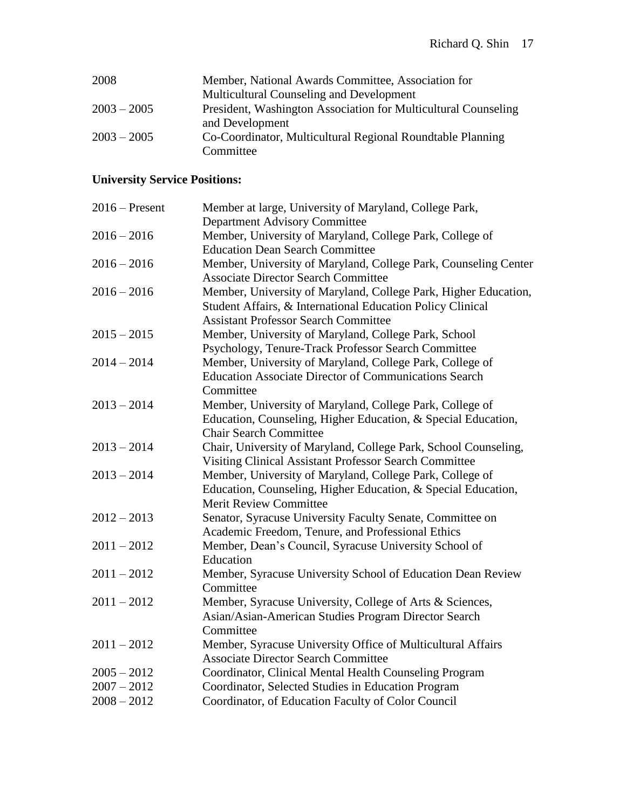| 2008          | Member, National Awards Committee, Association for             |
|---------------|----------------------------------------------------------------|
|               | Multicultural Counseling and Development                       |
| $2003 - 2005$ | President, Washington Association for Multicultural Counseling |
|               | and Development                                                |
| $2003 - 2005$ | Co-Coordinator, Multicultural Regional Roundtable Planning     |
|               | Committee                                                      |

# **University Service Positions:**

| $2016$ – Present | Member at large, University of Maryland, College Park,          |
|------------------|-----------------------------------------------------------------|
|                  | <b>Department Advisory Committee</b>                            |
| $2016 - 2016$    | Member, University of Maryland, College Park, College of        |
|                  | <b>Education Dean Search Committee</b>                          |
| $2016 - 2016$    | Member, University of Maryland, College Park, Counseling Center |
|                  | <b>Associate Director Search Committee</b>                      |
| $2016 - 2016$    | Member, University of Maryland, College Park, Higher Education, |
|                  | Student Affairs, & International Education Policy Clinical      |
|                  | <b>Assistant Professor Search Committee</b>                     |
| $2015 - 2015$    | Member, University of Maryland, College Park, School            |
|                  | Psychology, Tenure-Track Professor Search Committee             |
| $2014 - 2014$    | Member, University of Maryland, College Park, College of        |
|                  | <b>Education Associate Director of Communications Search</b>    |
|                  | Committee                                                       |
| $2013 - 2014$    | Member, University of Maryland, College Park, College of        |
|                  | Education, Counseling, Higher Education, & Special Education,   |
|                  | <b>Chair Search Committee</b>                                   |
| $2013 - 2014$    | Chair, University of Maryland, College Park, School Counseling, |
|                  | Visiting Clinical Assistant Professor Search Committee          |
| $2013 - 2014$    | Member, University of Maryland, College Park, College of        |
|                  | Education, Counseling, Higher Education, & Special Education,   |
|                  | <b>Merit Review Committee</b>                                   |
| $2012 - 2013$    | Senator, Syracuse University Faculty Senate, Committee on       |
|                  | Academic Freedom, Tenure, and Professional Ethics               |
| $2011 - 2012$    | Member, Dean's Council, Syracuse University School of           |
|                  | Education                                                       |
| $2011 - 2012$    | Member, Syracuse University School of Education Dean Review     |
|                  | Committee                                                       |
| $2011 - 2012$    | Member, Syracuse University, College of Arts & Sciences,        |
|                  | Asian/Asian-American Studies Program Director Search            |
|                  | Committee                                                       |
| $2011 - 2012$    | Member, Syracuse University Office of Multicultural Affairs     |
|                  | <b>Associate Director Search Committee</b>                      |
| $2005 - 2012$    | Coordinator, Clinical Mental Health Counseling Program          |
| $2007 - 2012$    | Coordinator, Selected Studies in Education Program              |
| $2008 - 2012$    | Coordinator, of Education Faculty of Color Council              |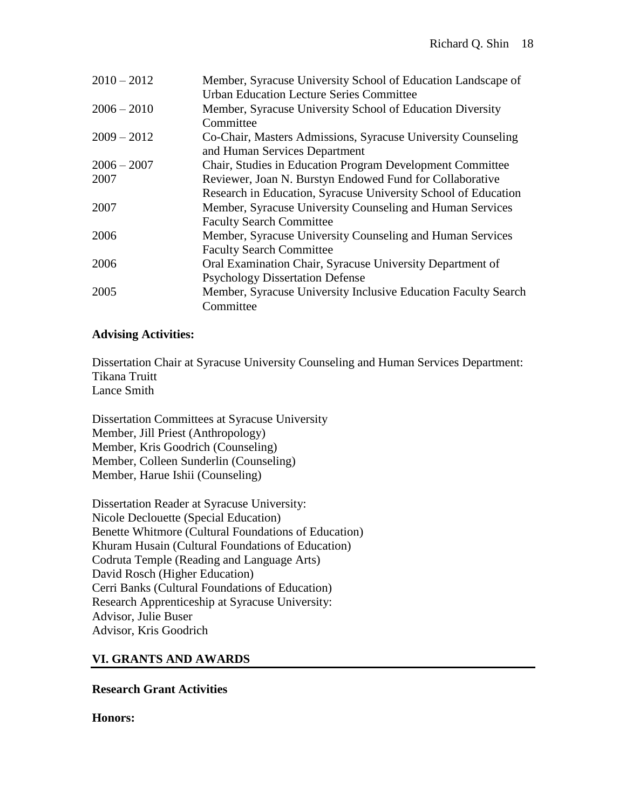| $2010 - 2012$ | Member, Syracuse University School of Education Landscape of<br><b>Urban Education Lecture Series Committee</b> |
|---------------|-----------------------------------------------------------------------------------------------------------------|
| $2006 - 2010$ | Member, Syracuse University School of Education Diversity<br>Committee                                          |
| $2009 - 2012$ | Co-Chair, Masters Admissions, Syracuse University Counseling<br>and Human Services Department                   |
| $2006 - 2007$ | Chair, Studies in Education Program Development Committee                                                       |
| 2007          | Reviewer, Joan N. Burstyn Endowed Fund for Collaborative                                                        |
|               | Research in Education, Syracuse University School of Education                                                  |
| 2007          | Member, Syracuse University Counseling and Human Services                                                       |
|               | <b>Faculty Search Committee</b>                                                                                 |
| 2006          | Member, Syracuse University Counseling and Human Services                                                       |
|               | <b>Faculty Search Committee</b>                                                                                 |
| 2006          | Oral Examination Chair, Syracuse University Department of                                                       |
|               | <b>Psychology Dissertation Defense</b>                                                                          |
| 2005          | Member, Syracuse University Inclusive Education Faculty Search                                                  |
|               | Committee                                                                                                       |

# **Advising Activities:**

Dissertation Chair at Syracuse University Counseling and Human Services Department: Tikana Truitt Lance Smith

Dissertation Committees at Syracuse University Member, Jill Priest (Anthropology) Member, Kris Goodrich (Counseling) Member, Colleen Sunderlin (Counseling) Member, Harue Ishii (Counseling)

Dissertation Reader at Syracuse University: Nicole Declouette (Special Education) Benette Whitmore (Cultural Foundations of Education) Khuram Husain (Cultural Foundations of Education) Codruta Temple (Reading and Language Arts) David Rosch (Higher Education) Cerri Banks (Cultural Foundations of Education) Research Apprenticeship at Syracuse University: Advisor, Julie Buser Advisor, Kris Goodrich

# **VI. GRANTS AND AWARDS**

**Research Grant Activities**

**Honors:**